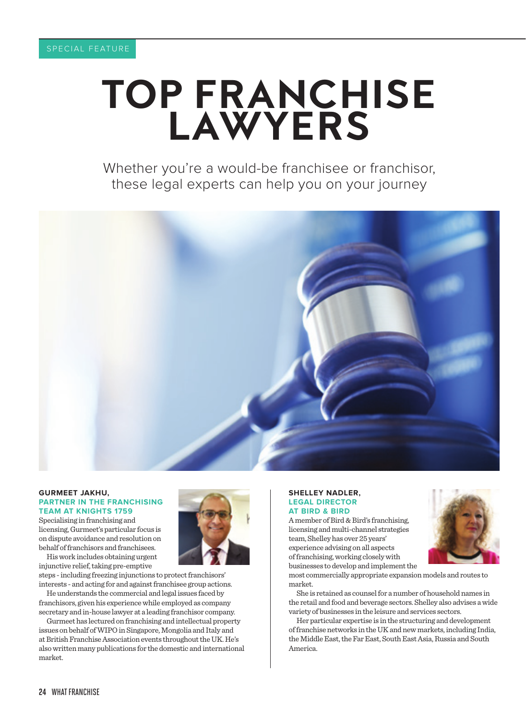# TOP FRANCHISE LAWYERS

Whether you're a would-be franchisee or franchisor, these legal experts can help you on your journey



#### **GURMEET JAKHU, PARTNER IN THE FRANCHISING TEAM AT KNIGHTS 1759**

Specialising in franchising and licensing, Gurmeet's particular focus is on dispute avoidance and resolution on behalf of franchisors and franchisees.

His work includes obtaining urgent injunctive relief, taking pre-emptive

steps - including freezing injunctions to protect franchisors' interests - and acting for and against franchisee group actions.

He understands the commercial and legal issues faced by franchisors, given his experience while employed as company secretary and in-house lawyer at a leading franchisor company.

Gurmeet has lectured on franchising and intellectual property issues on behalf of WIPO in Singapore, Mongolia and Italy and at British Franchise Association events throughout the UK. He's also written many publications for the domestic and international market.

## **SHELLEY NADLER, LEGAL DIRECTOR AT BIRD & BIRD**

A member of Bird & Bird's franchising, licensing and multi-channel strategies team, Shelley has over 25 years' experience advising on all aspects of franchising, working closely with businesses to develop and implement the



most commercially appropriate expansion models and routes to market.

She is retained as counsel for a number of household names in the retail and food and beverage sectors. Shelley also advises a wide variety of businesses in the leisure and services sectors.

Her particular expertise is in the structuring and development of franchise networks in the UK and new markets, including India, the Middle East, the Far East, South East Asia, Russia and South America.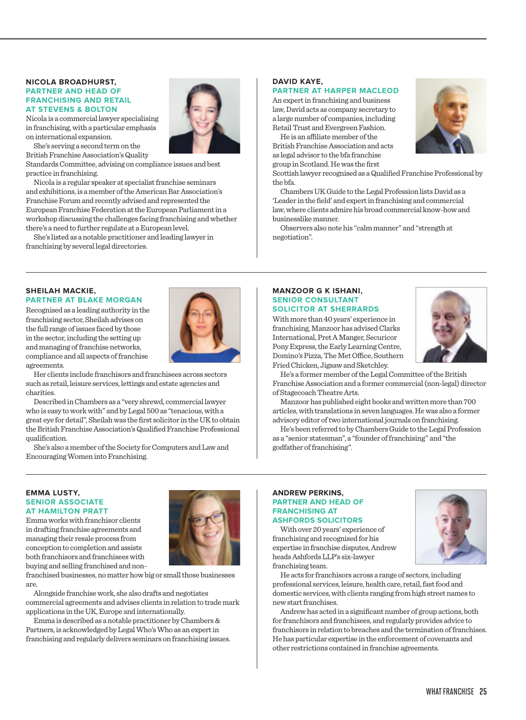#### **NICOLA BROADHURST, PARTNER AND HEAD OF FRANCHISING AND RETAIL AT STEVENS & BOLTON**

Nicola is a commercial lawyer specialising in franchising, with a particular emphasis on international expansion.

She's serving a second term on the British Franchise Association's Quality

Standards Committee, advising on compliance issues and best practice in franchising.

Nicola is a regular speaker at specialist franchise seminars and exhibitions, is a member of the American Bar Association's Franchise Forum and recently advised and represented the European Franchise Federation at the European Parliament in a workshop discussing the challenges facing franchising and whether there's a need to further regulate at a European level.

She's listed as a notable practitioner and leading lawyer in franchising by several legal directories.

# **DAVID KAYE,**

# **PARTNER AT HARPER MACLEOD**

An expert in franchising and business law, David acts as company secretary to a large number of companies, including Retail Trust and Evergreen Fashion.

He is an affiliate member of the British Franchise Association and acts as legal advisor to the bfa franchise group in Scotland. He was the first

Scottish lawyer recognised as a Qualified Franchise Professional by the bfa.

Chambers UK Guide to the Legal Profession lists David as a 'Leader in the field' and expert in franchising and commercial law, where clients admire his broad commercial know-how and businesslike manner.

Observers also note his "calm manner" and "strength at negotiation".

## **SHEILAH MACKIE, PARTNER AT BLAKE MORGAN**

Recognised as a leading authority in the franchising sector, Sheilah advises on the full range of issues faced by those in the sector, including the setting up and managing of franchise networks, compliance and all aspects of franchise agreements.

Her clients include franchisors and franchisees across sectors such as retail, leisure services, lettings and estate agencies and charities.

Described in Chambers as a "very shrewd, commercial lawyer who is easy to work with" and by Legal 500 as "tenacious, with a great eye for detail", Sheilah was the first solicitor in the UK to obtain the British Franchise Association's Qualified Franchise Professional qualification.

She's also a member of the Society for Computers and Law and Encouraging Women into Franchising.

## **MANZOOR G K ISHANI, SENIOR CONSULTANT SOLICITOR AT SHERRARDS**

With more than 40 years' experience in franchising, Manzoor has advised Clarks International, Pret A Manger, Securicor Pony Express, the Early Learning Centre, Domino's Pizza, The Met Office, Southern Fried Chicken, Jigsaw and Sketchley.



He's a former member of the Legal Committee of the British Franchise Association and a former commercial (non-legal) director of Stagecoach Theatre Arts.

Manzoor has published eight books and written more than 700 articles, with translations in seven languages. He was also a former advisory editor of two international journals on franchising.

He's been referred to by Chambers Guide to the Legal Profession as a "senior statesman", a "founder of franchising" and "the godfather of franchising".

#### **EMMA LUSTY, SENIOR ASSOCIATE AT HAMILTON PRATT**

Emma works with franchisor clients in drafting franchise agreements and managing their resale process from conception to completion and assists both franchisors and franchisees with buying and selling franchised and non-



franchised businesses, no matter how big or small those businesses are.

Alongside franchise work, she also drafts and negotiates commercial agreements and advises clients in relation to trade mark applications in the UK, Europe and internationally.

Emma is described as a notable practitioner by Chambers & Partners, is acknowledged by Legal Who's Who as an expert in franchising and regularly delivers seminars on franchising issues.

#### **ANDREW PERKINS, PARTNER AND HEAD OF FRANCHISING AT ASHFORDS SOLICITORS**

With over 20 years' experience of franchising and recognised for his expertise in franchise disputes, Andrew heads Ashfords LLP's six-lawyer franchising team.



Andrew has acted in a significant number of group actions, both for franchisors and franchisees, and regularly provides advice to franchisors in relation to breaches and the termination of franchises. He has particular expertise in the enforcement of covenants and other restrictions contained in franchise agreements.